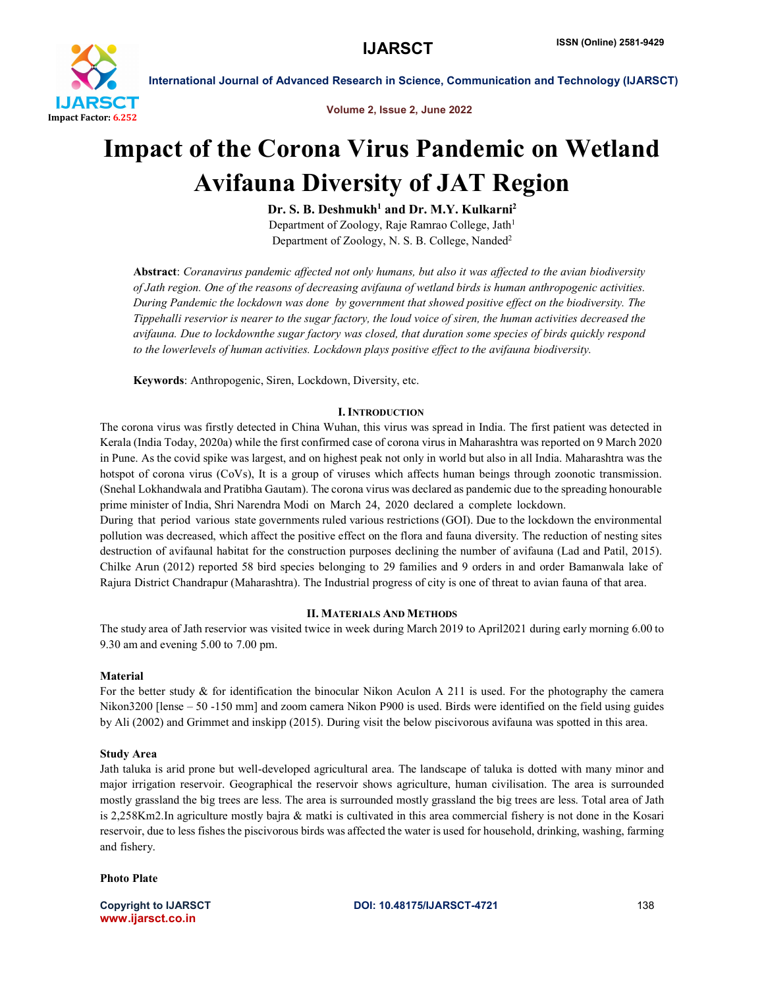

International Journal of Advanced Research in Science, Communication and Technology (IJARSCT)

Volume 2, Issue 2, June 2022

# Impact of the Corona Virus Pandemic on Wetland Avifauna Diversity of JAT Region

 $Dr. S. B. Deshmukh<sup>1</sup>$  and  $Dr. M.Y. Kulkarni<sup>2</sup>$ 

Department of Zoology, Raje Ramrao College, Jath<sup>1</sup> Department of Zoology, N. S. B. College, Nanded2

Abstract: *Coranavirus pandemic affected not only humans, but also it was affected to the avian biodiversity of Jath region. One of the reasons of decreasing avifauna of wetland birds is human anthropogenic activities. During Pandemic the lockdown was done by government that showed positive effect on the biodiversity. The Tippehalli reservior is nearer to the sugar factory, the loud voice of siren, the human activities decreased the avifauna. Due to lockdownthe sugar factory was closed, that duration some species of birds quickly respond to the lowerlevels of human activities. Lockdown plays positive effect to the avifauna biodiversity.*

Keywords: Anthropogenic, Siren, Lockdown, Diversity, etc.

# **I. INTRODUCTION**

The corona virus was firstly detected in China Wuhan, this virus was spread in India. The first patient was detected in Kerala (India Today, 2020a) while the first confirmed case of corona virus in Maharashtra was reported on 9 March 2020 in Pune. As the covid spike was largest, and on highest peak not only in world but also in all India. Maharashtra was the hotspot of corona virus (CoVs), It is a group of viruses which affects human beings through zoonotic transmission. (Snehal Lokhandwala and Pratibha Gautam). The corona virus was declared as pandemic due to the spreading honourable prime minister of India, Shri Narendra Modi on March 24, 2020 declared a complete lockdown.

During that period various state governments ruled various restrictions (GOI). Due to the lockdown the environmental pollution was decreased, which affect the positive effect on the flora and fauna diversity. The reduction of nesting sites destruction of avifaunal habitat for the construction purposes declining the number of avifauna (Lad and Patil, 2015). Chilke Arun (2012) reported 58 bird species belonging to 29 families and 9 orders in and order Bamanwala lake of Rajura District Chandrapur (Maharashtra). The Industrial progress of city is one of threat to avian fauna of that area.

# II. MATERIALS AND METHODS

The study area of Jath reservior was visited twice in week during March 2019 to April2021 during early morning 6.00 to 9.30 am and evening 5.00 to 7.00 pm.

# Material

For the better study & for identification the binocular Nikon Aculon A 211 is used. For the photography the camera Nikon3200 [lense – 50 -150 mm] and zoom camera Nikon P900 is used. Birds were identified on the field using guides by Ali (2002) and Grimmet and inskipp (2015). During visit the below piscivorous avifauna was spotted in this area.

### Study Area

Jath taluka is arid prone but well-developed agricultural area. The landscape of taluka is dotted with many minor and major irrigation reservoir. Geographical the reservoir shows agriculture, human civilisation. The area is surrounded mostly grassland the big trees are less. The area is surrounded mostly grassland the big trees are less. Total area of Jath is 2,258Km2.In agriculture mostly bajra & matki is cultivated in this area commercial fishery is not done in the Kosari reservoir, due to less fishes the piscivorous birds was affected the water is used for household, drinking, washing, farming and fishery.

Photo Plate

www.ijarsct.co.in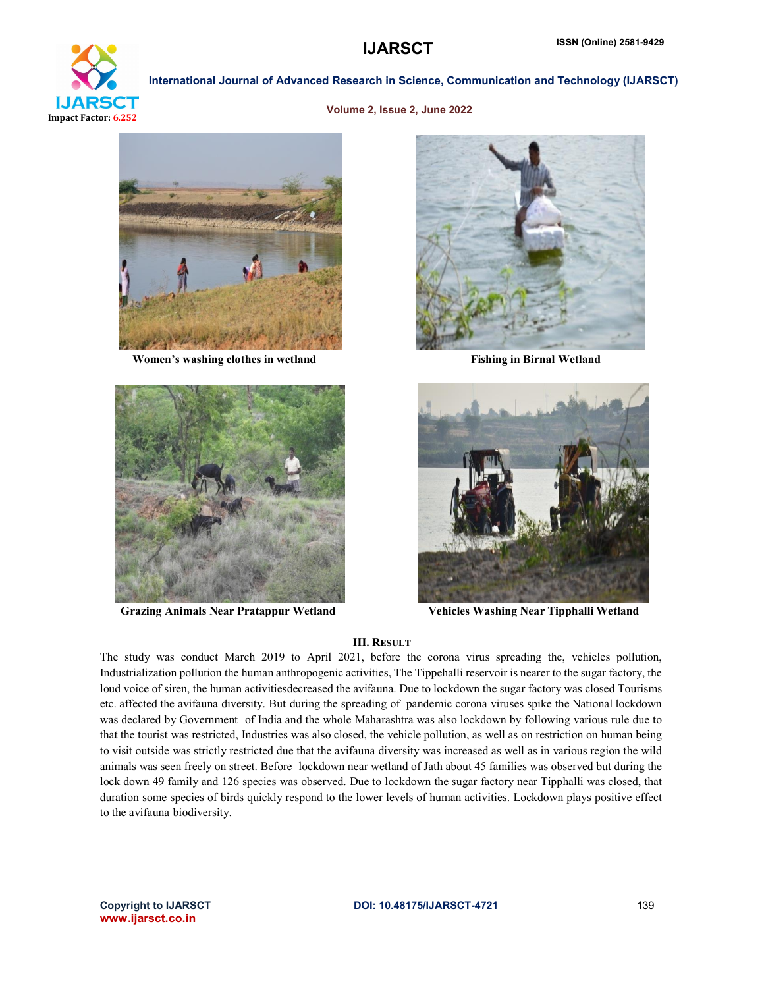

International Journal of Advanced Research in Science, Communication and Technology (IJARSCT)

Volume 2, Issue 2, June 2022



Women's washing clothes in wetland Fishing in Birnal Wetland







Grazing Animals Near Pratappur Wetland Vehicles Washing Near Tipphalli Wetland

#### III. RESULT

The study was conduct March 2019 to April 2021, before the corona virus spreading the, vehicles pollution, Industrialization pollution the human anthropogenic activities, The Tippehalli reservoir is nearer to the sugar factory, the loud voice of siren, the human activitiesdecreased the avifauna. Due to lockdown the sugar factory was closed Tourisms etc. affected the avifauna diversity. But during the spreading of pandemic corona viruses spike the National lockdown was declared by Government of India and the whole Maharashtra was also lockdown by following various rule due to that the tourist was restricted, Industries was also closed, the vehicle pollution, as well as on restriction on human being to visit outside was strictly restricted due that the avifauna diversity was increased as well as in various region the wild animals was seen freely on street. Before lockdown near wetland of Jath about 45 families was observed but during the lock down 49 family and 126 species was observed. Due to lockdown the sugar factory near Tipphalli was closed, that duration some species of birds quickly respond to the lower levels of human activities. Lockdown plays positive effect to the avifauna biodiversity.

www.ijarsct.co.in